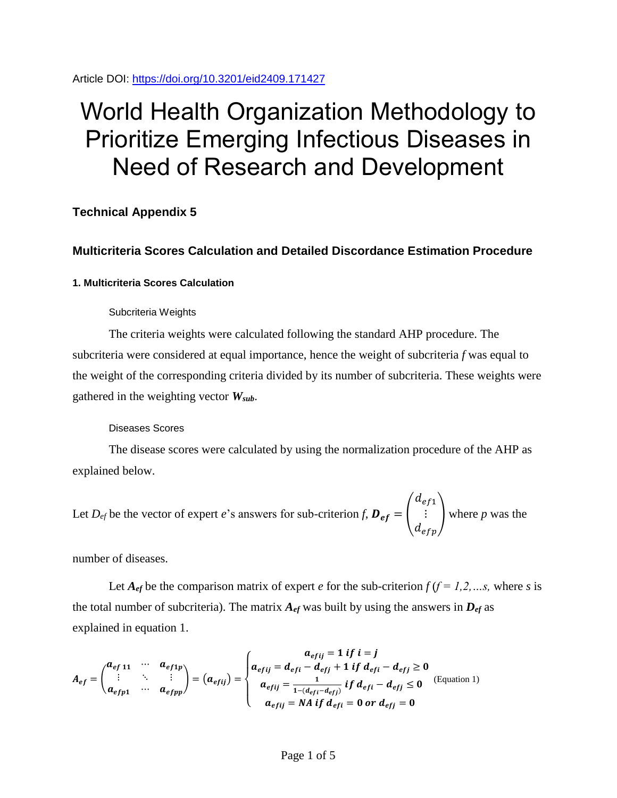Article DOI:<https://doi.org/10.3201/eid2409.171427>

# World Health Organization Methodology to Prioritize Emerging Infectious Diseases in Need of Research and Development

# **Technical Appendix 5**

# **Multicriteria Scores Calculation and Detailed Discordance Estimation Procedure**

## **1. Multicriteria Scores Calculation**

## Subcriteria Weights

The criteria weights were calculated following the standard AHP procedure. The subcriteria were considered at equal importance, hence the weight of subcriteria *f* was equal to the weight of the corresponding criteria divided by its number of subcriteria. These weights were gathered in the weighting vector *Wsub*.

## Diseases Scores

The disease scores were calculated by using the normalization procedure of the AHP as explained below.

Let  $D_{ef}$  be the vector of expert *e*'s answers for sub-criterion *f*,  $D_{ef} =$  $d_{ef1}$  $\begin{pmatrix} \vdots \\ \vdots \\ \vdots \end{pmatrix}$  where *p* was the

number of diseases.

Let  $A_{ef}$  be the comparison matrix of expert *e* for the sub-criterion  $f(f = 1, 2, \ldots, s$ , where *s* is the total number of subcriteria). The matrix  $A_{ef}$  was built by using the answers in  $D_{ef}$  as explained in equation 1.

$$
A_{ef} = \begin{pmatrix} a_{ef11} & \cdots & a_{ef1p} \\ \vdots & \ddots & \vdots \\ a_{efp1} & \cdots & a_{efpp} \end{pmatrix} = (a_{efij}) = \begin{cases} a_{efij} = 1 \text{ if } i = j \\ a_{efij} = d_{efi} - d_{efj} + 1 \text{ if } d_{efi} - d_{efj} \ge 0 \\ a_{efij} = \frac{1}{1 - (d_{efi} - d_{efj})} \text{ if } d_{efi} - d_{efj} \le 0 \end{cases}
$$
 (Equation 1)  

$$
a_{efij} = NA \text{ if } d_{efi} = 0 \text{ or } d_{efj} = 0
$$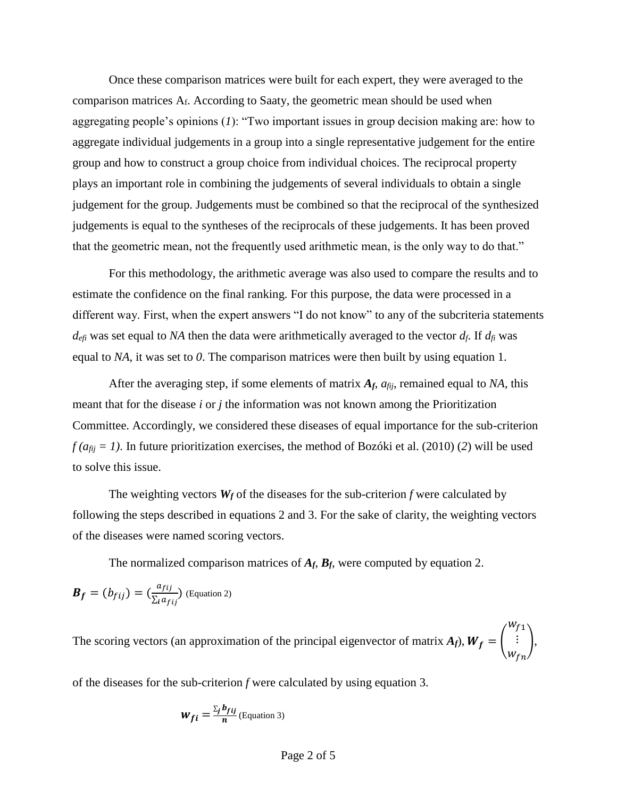Once these comparison matrices were built for each expert, they were averaged to the comparison matrices  $A_f$ . According to Saaty, the geometric mean should be used when aggregating people's opinions (*1*): "Two important issues in group decision making are: how to aggregate individual judgements in a group into a single representative judgement for the entire group and how to construct a group choice from individual choices. The reciprocal property plays an important role in combining the judgements of several individuals to obtain a single judgement for the group. Judgements must be combined so that the reciprocal of the synthesized judgements is equal to the syntheses of the reciprocals of these judgements. It has been proved that the geometric mean, not the frequently used arithmetic mean, is the only way to do that."

For this methodology, the arithmetic average was also used to compare the results and to estimate the confidence on the final ranking. For this purpose, the data were processed in a different way. First, when the expert answers "I do not know" to any of the subcriteria statements  $d_{\text{eff}}$  was set equal to *NA* then the data were arithmetically averaged to the vector  $d_f$ . If  $d_f$  was equal to *NA*, it was set to *0*. The comparison matrices were then built by using equation 1.

After the averaging step, if some elements of matrix  $A_f$ ,  $a_{fi}$ , remained equal to NA, this meant that for the disease *i* or *j* the information was not known among the Prioritization Committee. Accordingly, we considered these diseases of equal importance for the sub-criterion  $f(a_{fij} = 1)$ . In future prioritization exercises, the method of Bozóki et al. (2010) (2) will be used to solve this issue.

The weighting vectors  $W_f$  of the diseases for the sub-criterion *f* were calculated by following the steps described in equations 2 and 3. For the sake of clarity, the weighting vectors of the diseases were named scoring vectors.

The normalized comparison matrices of *Af*, *Bf*, were computed by equation 2.

$$
\boldsymbol{B}_f = (b_{fij}) = \left(\frac{a_{fij}}{\sum_i a_{fij}}\right)
$$
 (Equation 2)

The scoring vectors (an approximation of the principal eigenvector of matrix  $A_f$ ),  $W_f =$  $w_{f1}$ ⋮  $W_{fn}$ ),

of the diseases for the sub-criterion *f* were calculated by using equation 3.

$$
W_{fi} = \frac{\sum_{j} b_{fij}}{n}
$$
 (Equation 3)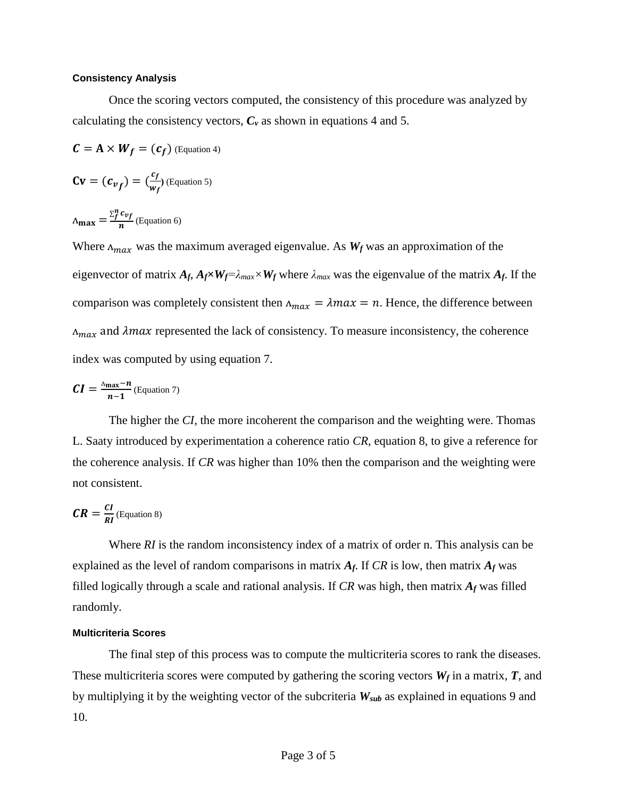#### **Consistency Analysis**

Once the scoring vectors computed, the consistency of this procedure was analyzed by calculating the consistency vectors,  $C_v$  as shown in equations 4 and 5.

$$
C = A \times W_f = (c_f)
$$
 (Equation 4)

$$
\mathbf{C}\mathbf{v} = (c_{vf}) = (\frac{c_f}{w_f})
$$
 (Equation 5)

$$
\Lambda_{\text{max}} = \frac{\Sigma_f^n c_{vf}}{n}
$$
 (Equation 6)

Where  $\Lambda_{max}$  was the maximum averaged eigenvalue. As  $W_f$  was an approximation of the eigenvector of matrix  $A_f$ ,  $A_f \times W_f = \lambda_{max} \times W_f$  where  $\lambda_{max}$  was the eigenvalue of the matrix  $A_f$ . If the comparison was completely consistent then  $\Lambda_{max} = \lambda max = n$ . Hence, the difference between  $\Lambda_{max}$  and  $\lambda max$  represented the lack of consistency. To measure inconsistency, the coherence index was computed by using equation 7.

$$
CI = \frac{\Delta_{\max} - n}{n - 1}
$$
 (Equation 7)

The higher the *CI,* the more incoherent the comparison and the weighting were. Thomas L. Saaty introduced by experimentation a coherence ratio *CR*, equation 8, to give a reference for the coherence analysis. If *CR* was higher than 10% then the comparison and the weighting were not consistent.

$$
CR = \frac{CI}{RI}
$$
 (Equation 8)

Where *RI* is the random inconsistency index of a matrix of order n. This analysis can be explained as the level of random comparisons in matrix  $A_f$ . If  $CR$  is low, then matrix  $A_f$  was filled logically through a scale and rational analysis. If *CR* was high, then matrix *A<sup>f</sup>* was filled randomly.

#### **Multicriteria Scores**

The final step of this process was to compute the multicriteria scores to rank the diseases. These multicriteria scores were computed by gathering the scoring vectors  $W_f$  in a matrix,  $T$ , and by multiplying it by the weighting vector of the subcriteria *Wsub* as explained in equations 9 and 10.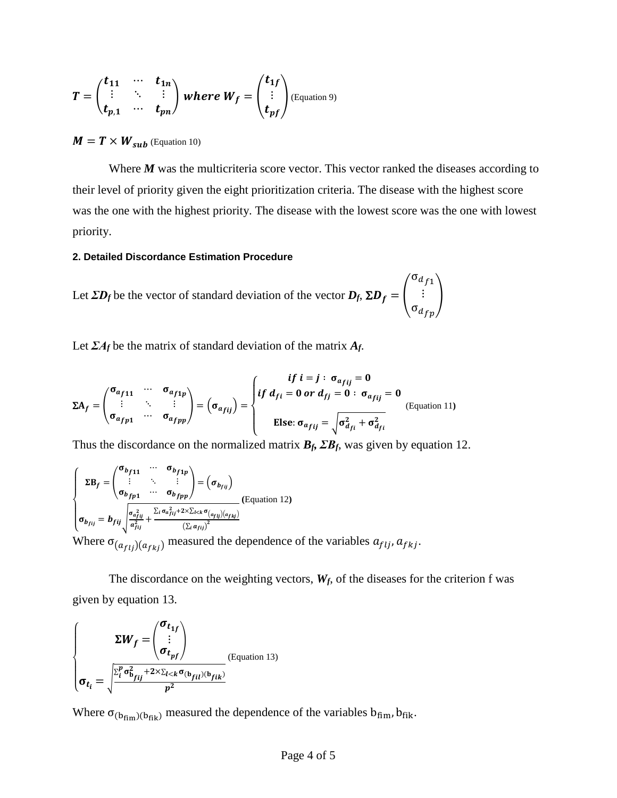$$
T = \begin{pmatrix} t_{11} & \cdots & t_{1n} \\ \vdots & \ddots & \vdots \\ t_{p,1} & \cdots & t_{pn} \end{pmatrix} where W_f = \begin{pmatrix} t_{1f} \\ \vdots \\ t_{pf} \end{pmatrix} \text{(Equation 9)}
$$

# $M = T \times W_{sub}$  (Equation 10)

Where *M* was the multicriteria score vector. This vector ranked the diseases according to their level of priority given the eight prioritization criteria. The disease with the highest score was the one with the highest priority. The disease with the lowest score was the one with lowest priority.

#### **2. Detailed Discordance Estimation Procedure**

Let  $\Sigma D_f$  be the vector of standard deviation of the vector  $D_f$ ,  $\Sigma D_f =$  $\sigma_{d_{f1}}$  $\begin{pmatrix} \vdots \\ \sigma_{d_{fp}} \end{pmatrix}$ 

Let *ΣA<sup>f</sup>* be the matrix of standard deviation of the matrix *Af*.

$$
\Sigma A_f = \begin{pmatrix} \sigma_{a_{f11}} & \cdots & \sigma_{a_{f1p}} \\ \vdots & \ddots & \vdots \\ \sigma_{a_{fp1}} & \cdots & \sigma_{a_{fpp}} \end{pmatrix} = \begin{pmatrix} \text{if } i = j : \sigma_{a_{fij}} = 0 \\ \text{if } d_{fi} = 0 \text{ or } d_{fi} = 0 : \sigma_{a_{fij}} = 0 \\ \text{Else: } \sigma_{a_{fij}} = \sqrt{\sigma_{d_{fi}}^2 + \sigma_{d_{fi}}^2} \end{pmatrix}
$$
 (Equation 11)

Thus the discordance on the normalized matrix  $B_f$ ,  $\sum B_f$ , was given by equation 12.

$$
\begin{cases}\n\Sigma B_f = \begin{pmatrix}\n\sigma_{b_{f11}} & \cdots & \sigma_{b_{f1p}} \\
\vdots & \ddots & \vdots \\
\sigma_{b_{fp1}} & \cdots & \sigma_{b_{fpp}}\n\end{pmatrix} = (\sigma_{b_{fij}}) \\
\sigma_{b_{fij}} = b_{fij} \sqrt{\frac{\sigma_{a_{fij}}^2}{a_{fij}^2} + \frac{\Sigma_i \sigma_{a_{fij}}^2 + 2 \times \Sigma_i \times \sigma_{(a_{fij})(a_{fkj})}}{(\Sigma_i a_{fij})^2}} \\
\text{Where } \sigma_{(a_{fij})(a_{fkj})} \text{ measured the dependence of the variables } a_{fij}, a_{fkj}.\n\end{cases}
$$

The discordance on the weighting vectors,  $W_f$ , of the diseases for the criterion f was given by equation 13.

$$
\begin{cases}\n\Sigma W_f = \begin{pmatrix}\n\sigma_{t_{1f}} \\
\vdots \\
\sigma_{t_{pf}}\n\end{pmatrix} \\
\sigma_{t_i} = \sqrt{\frac{\sum_i^p \sigma_{b_{fij}}^2 + 2 \times \sum_{l < k} \sigma_{(b_{fil}) (b_{fik})}}{p^2}}\n\end{cases}
$$
(Equation 13)

Where  $\sigma_{(b_{fin})(b_{fik})}$  measured the dependence of the variables  $b_{fim}$ ,  $b_{fik}$ .